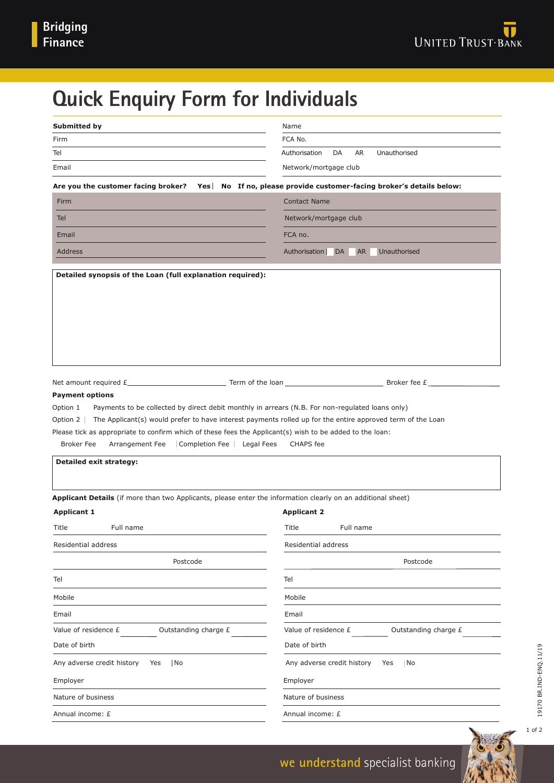# **Quick Enquiry Form for Individuals**

| <b>Submitted by</b>                                                                                                                                                                                                                                                                                                                                                                                                                                                                                                                                                                                                                                                                                                     | Name                                             |
|-------------------------------------------------------------------------------------------------------------------------------------------------------------------------------------------------------------------------------------------------------------------------------------------------------------------------------------------------------------------------------------------------------------------------------------------------------------------------------------------------------------------------------------------------------------------------------------------------------------------------------------------------------------------------------------------------------------------------|--------------------------------------------------|
| Firm                                                                                                                                                                                                                                                                                                                                                                                                                                                                                                                                                                                                                                                                                                                    | FCA No.                                          |
| Tel                                                                                                                                                                                                                                                                                                                                                                                                                                                                                                                                                                                                                                                                                                                     | DA<br>AR<br>Unauthorised<br>Authorisation        |
| Email                                                                                                                                                                                                                                                                                                                                                                                                                                                                                                                                                                                                                                                                                                                   | Network/mortgage club                            |
| Are you the customer facing broker? Yes No If no, please provide customer-facing broker's details below:                                                                                                                                                                                                                                                                                                                                                                                                                                                                                                                                                                                                                |                                                  |
| Firm                                                                                                                                                                                                                                                                                                                                                                                                                                                                                                                                                                                                                                                                                                                    | <b>Contact Name</b>                              |
| <b>Tel</b>                                                                                                                                                                                                                                                                                                                                                                                                                                                                                                                                                                                                                                                                                                              | Network/mortgage club                            |
| Email                                                                                                                                                                                                                                                                                                                                                                                                                                                                                                                                                                                                                                                                                                                   | FCA no.                                          |
| <b>Address</b>                                                                                                                                                                                                                                                                                                                                                                                                                                                                                                                                                                                                                                                                                                          | Authorisation<br>DA<br><b>AR</b><br>Unauthorised |
|                                                                                                                                                                                                                                                                                                                                                                                                                                                                                                                                                                                                                                                                                                                         |                                                  |
| Net amount required $f_$ and $f_$ and $f_$ are $f_$ are $f_$ are $f_$ are $f_$ are $f_$ are $f_$ are $f_$ are $f_$ are $f_$ are $f_$ are $f_$ are $f_$ are $f_$ are $f_$ are $f_$ are $f_$ are $f_$ are $f_$ are $f_$ are $f_$<br><b>Payment options</b><br>Payments to be collected by direct debit monthly in arrears (N.B. For non-regulated loans only)<br>Option 1<br>Option 2<br>The Applicant(s) would prefer to have interest payments rolled up for the entire approved term of the Loan<br>Please tick as appropriate to confirm which of these fees the Applicant(s) wish to be added to the loan:<br><b>Broker Fee</b><br>Arrangement Fee<br>Completion Fee<br>Legal Fees<br><b>Detailed exit strategy:</b> | Broker fee £<br><b>CHAPS</b> fee                 |
| Applicant Details (if more than two Applicants, please enter the information clearly on an additional sheet)<br><b>Applicant 1</b><br>Title<br>Full name                                                                                                                                                                                                                                                                                                                                                                                                                                                                                                                                                                | <b>Applicant 2</b><br>Title<br>Full name         |
|                                                                                                                                                                                                                                                                                                                                                                                                                                                                                                                                                                                                                                                                                                                         |                                                  |
| Residential address<br>Postcode                                                                                                                                                                                                                                                                                                                                                                                                                                                                                                                                                                                                                                                                                         | Residential address<br>Postcode                  |
| Tel                                                                                                                                                                                                                                                                                                                                                                                                                                                                                                                                                                                                                                                                                                                     | Tel                                              |
| Mobile                                                                                                                                                                                                                                                                                                                                                                                                                                                                                                                                                                                                                                                                                                                  | Mobile                                           |
| Email                                                                                                                                                                                                                                                                                                                                                                                                                                                                                                                                                                                                                                                                                                                   | Email                                            |
| Value of residence £<br>Outstanding charge £                                                                                                                                                                                                                                                                                                                                                                                                                                                                                                                                                                                                                                                                            | Value of residence £<br>Outstanding charge £     |
| Date of birth                                                                                                                                                                                                                                                                                                                                                                                                                                                                                                                                                                                                                                                                                                           | Date of birth                                    |
| Any adverse credit history<br>No<br>Yes                                                                                                                                                                                                                                                                                                                                                                                                                                                                                                                                                                                                                                                                                 | Any adverse credit history<br>No<br>Yes          |
| Employer                                                                                                                                                                                                                                                                                                                                                                                                                                                                                                                                                                                                                                                                                                                | Employer                                         |
| Nature of business                                                                                                                                                                                                                                                                                                                                                                                                                                                                                                                                                                                                                                                                                                      | Nature of business                               |
| Annual income: £                                                                                                                                                                                                                                                                                                                                                                                                                                                                                                                                                                                                                                                                                                        | Annual income: £                                 |
|                                                                                                                                                                                                                                                                                                                                                                                                                                                                                                                                                                                                                                                                                                                         |                                                  |

1 of 2